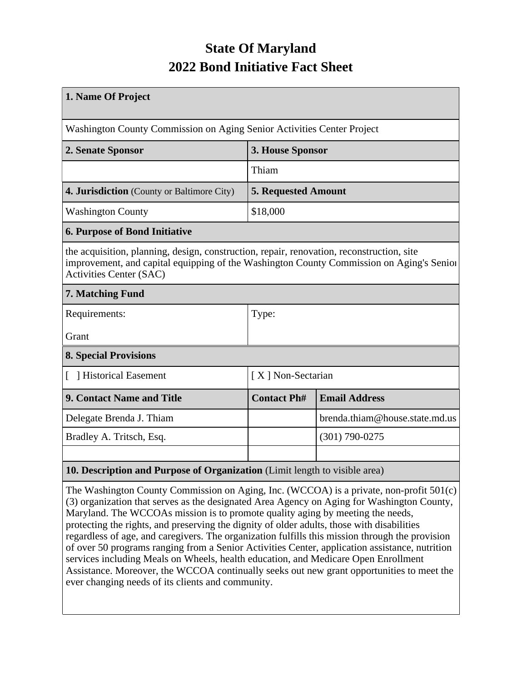## **State Of Maryland 2022 Bond Initiative Fact Sheet**

| 1. Name Of Project                                                                                                                                                                                                      |                                            |                                |  |  |  |
|-------------------------------------------------------------------------------------------------------------------------------------------------------------------------------------------------------------------------|--------------------------------------------|--------------------------------|--|--|--|
| Washington County Commission on Aging Senior Activities Center Project                                                                                                                                                  |                                            |                                |  |  |  |
| 2. Senate Sponsor                                                                                                                                                                                                       | 3. House Sponsor                           |                                |  |  |  |
|                                                                                                                                                                                                                         | Thiam                                      |                                |  |  |  |
| 4. Jurisdiction (County or Baltimore City)                                                                                                                                                                              | <b>5. Requested Amount</b>                 |                                |  |  |  |
| <b>Washington County</b>                                                                                                                                                                                                | \$18,000                                   |                                |  |  |  |
| <b>6. Purpose of Bond Initiative</b>                                                                                                                                                                                    |                                            |                                |  |  |  |
| the acquisition, planning, design, construction, repair, renovation, reconstruction, site<br>improvement, and capital equipping of the Washington County Commission on Aging's Senior<br><b>Activities Center (SAC)</b> |                                            |                                |  |  |  |
| 7. Matching Fund                                                                                                                                                                                                        |                                            |                                |  |  |  |
| Requirements:                                                                                                                                                                                                           | Type:                                      |                                |  |  |  |
| Grant                                                                                                                                                                                                                   |                                            |                                |  |  |  |
| <b>8. Special Provisions</b>                                                                                                                                                                                            |                                            |                                |  |  |  |
| [ ] Historical Easement                                                                                                                                                                                                 | [X] Non-Sectarian                          |                                |  |  |  |
| 9. Contact Name and Title                                                                                                                                                                                               | <b>Contact Ph#</b><br><b>Email Address</b> |                                |  |  |  |
| Delegate Brenda J. Thiam                                                                                                                                                                                                |                                            | brenda.thiam@house.state.md.us |  |  |  |
| Bradley A. Tritsch, Esq.                                                                                                                                                                                                | $(301)$ 790-0275                           |                                |  |  |  |
|                                                                                                                                                                                                                         |                                            |                                |  |  |  |
| 10. Description and Purpose of Organization (Limit length to visible area)                                                                                                                                              |                                            |                                |  |  |  |

The Washington County Commission on Aging, Inc. (WCCOA) is a private, non-profit 501(c) (3) organization that serves as the designated Area Agency on Aging for Washington County, Maryland. The WCCOAs mission is to promote quality aging by meeting the needs, protecting the rights, and preserving the dignity of older adults, those with disabilities regardless of age, and caregivers. The organization fulfills this mission through the provision of over 50 programs ranging from a Senior Activities Center, application assistance, nutrition services including Meals on Wheels, health education, and Medicare Open Enrollment Assistance. Moreover, the WCCOA continually seeks out new grant opportunities to meet the ever changing needs of its clients and community.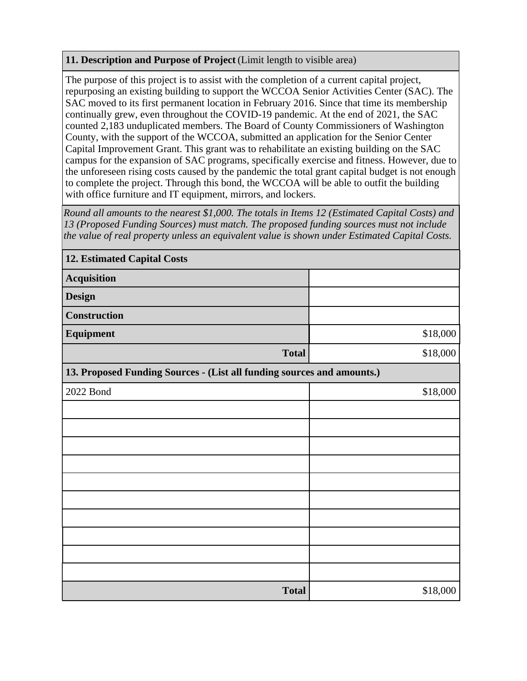## **11. Description and Purpose of Project** (Limit length to visible area)

The purpose of this project is to assist with the completion of a current capital project, repurposing an existing building to support the WCCOA Senior Activities Center (SAC). The SAC moved to its first permanent location in February 2016. Since that time its membership continually grew, even throughout the COVID-19 pandemic. At the end of 2021, the SAC counted 2,183 unduplicated members. The Board of County Commissioners of Washington County, with the support of the WCCOA, submitted an application for the Senior Center Capital Improvement Grant. This grant was to rehabilitate an existing building on the SAC campus for the expansion of SAC programs, specifically exercise and fitness. However, due to the unforeseen rising costs caused by the pandemic the total grant capital budget is not enough to complete the project. Through this bond, the WCCOA will be able to outfit the building with office furniture and IT equipment, mirrors, and lockers.

*Round all amounts to the nearest \$1,000. The totals in Items 12 (Estimated Capital Costs) and 13 (Proposed Funding Sources) must match. The proposed funding sources must not include the value of real property unless an equivalent value is shown under Estimated Capital Costs.*

| <b>12. Estimated Capital Costs</b>                                     |          |  |  |  |  |
|------------------------------------------------------------------------|----------|--|--|--|--|
| <b>Acquisition</b>                                                     |          |  |  |  |  |
| <b>Design</b>                                                          |          |  |  |  |  |
| <b>Construction</b>                                                    |          |  |  |  |  |
| Equipment                                                              | \$18,000 |  |  |  |  |
| <b>Total</b>                                                           | \$18,000 |  |  |  |  |
| 13. Proposed Funding Sources - (List all funding sources and amounts.) |          |  |  |  |  |
| 2022 Bond                                                              | \$18,000 |  |  |  |  |
|                                                                        |          |  |  |  |  |
|                                                                        |          |  |  |  |  |
|                                                                        |          |  |  |  |  |
|                                                                        |          |  |  |  |  |
|                                                                        |          |  |  |  |  |
|                                                                        |          |  |  |  |  |
|                                                                        |          |  |  |  |  |
|                                                                        |          |  |  |  |  |
|                                                                        |          |  |  |  |  |
|                                                                        |          |  |  |  |  |
| <b>Total</b>                                                           | \$18,000 |  |  |  |  |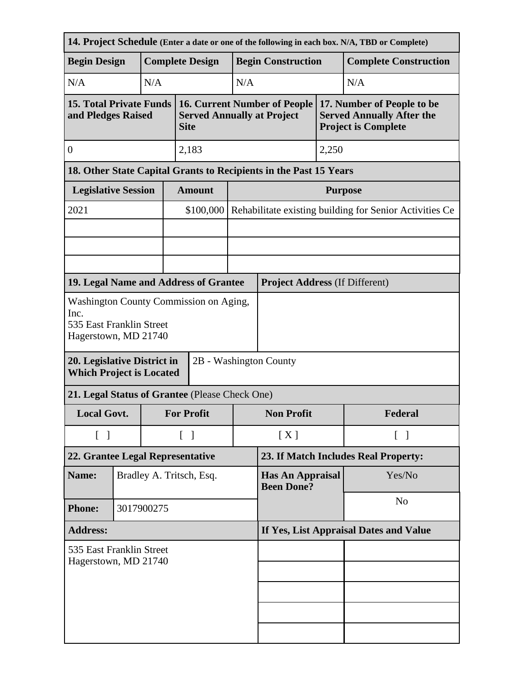| 14. Project Schedule (Enter a date or one of the following in each box. N/A, TBD or Complete)             |            |                          |                                        |                                                                                         |                                              |                                                                   |         |                                                                                              |  |
|-----------------------------------------------------------------------------------------------------------|------------|--------------------------|----------------------------------------|-----------------------------------------------------------------------------------------|----------------------------------------------|-------------------------------------------------------------------|---------|----------------------------------------------------------------------------------------------|--|
| <b>Begin Design</b>                                                                                       |            |                          | <b>Complete Design</b>                 |                                                                                         |                                              | <b>Begin Construction</b>                                         |         | <b>Complete Construction</b>                                                                 |  |
| N/A                                                                                                       |            | N/A                      |                                        |                                                                                         | N/A                                          |                                                                   |         | N/A                                                                                          |  |
| <b>15. Total Private Funds</b><br>and Pledges Raised                                                      |            |                          |                                        | <b>16. Current Number of People</b><br><b>Served Annually at Project</b><br><b>Site</b> |                                              |                                                                   |         | 17. Number of People to be<br><b>Served Annually After the</b><br><b>Project is Complete</b> |  |
| $\boldsymbol{0}$                                                                                          |            |                          |                                        | 2,183                                                                                   |                                              |                                                                   | 2,250   |                                                                                              |  |
|                                                                                                           |            |                          |                                        |                                                                                         |                                              | 18. Other State Capital Grants to Recipients in the Past 15 Years |         |                                                                                              |  |
| <b>Legislative Session</b>                                                                                |            |                          |                                        | <b>Amount</b>                                                                           |                                              | <b>Purpose</b>                                                    |         |                                                                                              |  |
| 2021                                                                                                      |            |                          |                                        | \$100,000                                                                               |                                              | Rehabilitate existing building for Senior Activities Ce           |         |                                                                                              |  |
|                                                                                                           |            |                          |                                        |                                                                                         |                                              |                                                                   |         |                                                                                              |  |
|                                                                                                           |            |                          |                                        |                                                                                         |                                              |                                                                   |         |                                                                                              |  |
| 19. Legal Name and Address of Grantee                                                                     |            |                          |                                        |                                                                                         |                                              | <b>Project Address (If Different)</b>                             |         |                                                                                              |  |
|                                                                                                           |            |                          |                                        |                                                                                         |                                              |                                                                   |         |                                                                                              |  |
| <b>Washington County Commission on Aging,</b><br>Inc.<br>535 East Franklin Street<br>Hagerstown, MD 21740 |            |                          |                                        |                                                                                         |                                              |                                                                   |         |                                                                                              |  |
| 2B - Washington County<br>20. Legislative District in<br><b>Which Project is Located</b>                  |            |                          |                                        |                                                                                         |                                              |                                                                   |         |                                                                                              |  |
| 21. Legal Status of Grantee (Please Check One)                                                            |            |                          |                                        |                                                                                         |                                              |                                                                   |         |                                                                                              |  |
| <b>Local Govt.</b>                                                                                        |            |                          | <b>For Profit</b>                      |                                                                                         | <b>Non Profit</b>                            |                                                                   | Federal |                                                                                              |  |
| $\begin{bmatrix} 1 \end{bmatrix}$                                                                         |            |                          | $\lceil \; \rceil$                     |                                                                                         | [X]                                          | $\lceil \; \rceil$                                                |         |                                                                                              |  |
| 22. Grantee Legal Representative                                                                          |            |                          | 23. If Match Includes Real Property:   |                                                                                         |                                              |                                                                   |         |                                                                                              |  |
| Name:                                                                                                     |            | Bradley A. Tritsch, Esq. |                                        |                                                                                         | <b>Has An Appraisal</b><br><b>Been Done?</b> |                                                                   | Yes/No  |                                                                                              |  |
| <b>Phone:</b>                                                                                             | 3017900275 |                          |                                        |                                                                                         |                                              | N <sub>o</sub>                                                    |         |                                                                                              |  |
| <b>Address:</b>                                                                                           |            |                          | If Yes, List Appraisal Dates and Value |                                                                                         |                                              |                                                                   |         |                                                                                              |  |
| 535 East Franklin Street<br>Hagerstown, MD 21740                                                          |            |                          |                                        |                                                                                         |                                              |                                                                   |         |                                                                                              |  |
|                                                                                                           |            |                          |                                        |                                                                                         |                                              |                                                                   |         |                                                                                              |  |
|                                                                                                           |            |                          |                                        |                                                                                         |                                              |                                                                   |         |                                                                                              |  |
|                                                                                                           |            |                          |                                        |                                                                                         |                                              |                                                                   |         |                                                                                              |  |
|                                                                                                           |            |                          |                                        |                                                                                         |                                              |                                                                   |         |                                                                                              |  |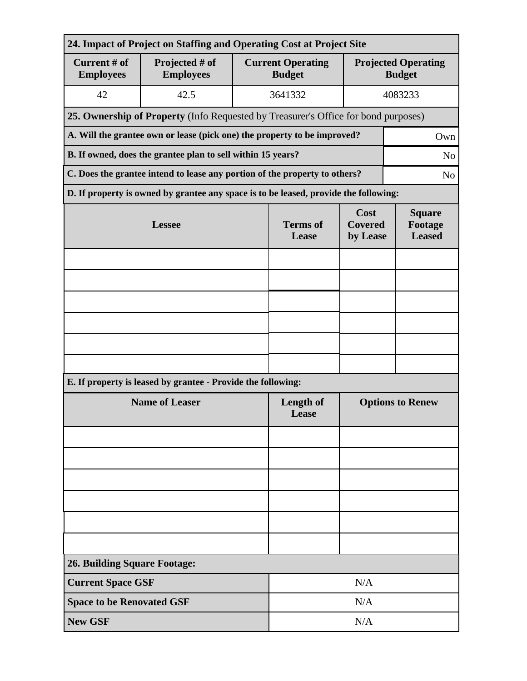| 24. Impact of Project on Staffing and Operating Cost at Project Site |                                                                                              |                                           |                                    |                                           |                                             |  |  |
|----------------------------------------------------------------------|----------------------------------------------------------------------------------------------|-------------------------------------------|------------------------------------|-------------------------------------------|---------------------------------------------|--|--|
| Current # of<br><b>Employees</b>                                     | Projected # of<br><b>Employees</b>                                                           | <b>Current Operating</b><br><b>Budget</b> |                                    |                                           | <b>Projected Operating</b><br><b>Budget</b> |  |  |
| 42                                                                   | 42.5                                                                                         |                                           | 3641332                            |                                           | 4083233                                     |  |  |
|                                                                      | 25. Ownership of Property (Info Requested by Treasurer's Office for bond purposes)           |                                           |                                    |                                           |                                             |  |  |
|                                                                      | A. Will the grantee own or lease (pick one) the property to be improved?<br>Own              |                                           |                                    |                                           |                                             |  |  |
|                                                                      | B. If owned, does the grantee plan to sell within 15 years?<br>N <sub>o</sub>                |                                           |                                    |                                           |                                             |  |  |
|                                                                      | C. Does the grantee intend to lease any portion of the property to others?<br>N <sub>o</sub> |                                           |                                    |                                           |                                             |  |  |
|                                                                      | D. If property is owned by grantee any space is to be leased, provide the following:         |                                           |                                    |                                           |                                             |  |  |
|                                                                      | <b>Lessee</b>                                                                                | <b>Terms</b> of<br>Lease                  | Cost<br><b>Covered</b><br>by Lease | <b>Square</b><br>Footage<br><b>Leased</b> |                                             |  |  |
|                                                                      |                                                                                              |                                           |                                    |                                           |                                             |  |  |
|                                                                      |                                                                                              |                                           |                                    |                                           |                                             |  |  |
|                                                                      |                                                                                              |                                           |                                    |                                           |                                             |  |  |
|                                                                      |                                                                                              |                                           |                                    |                                           |                                             |  |  |
|                                                                      |                                                                                              |                                           |                                    |                                           |                                             |  |  |
|                                                                      |                                                                                              |                                           |                                    |                                           |                                             |  |  |
|                                                                      | E. If property is leased by grantee - Provide the following:                                 |                                           |                                    |                                           |                                             |  |  |
| <b>Name of Leaser</b>                                                |                                                                                              |                                           | Length of<br>Lease                 | <b>Options to Renew</b>                   |                                             |  |  |
|                                                                      |                                                                                              |                                           |                                    |                                           |                                             |  |  |
|                                                                      |                                                                                              |                                           |                                    |                                           |                                             |  |  |
|                                                                      |                                                                                              |                                           |                                    |                                           |                                             |  |  |
|                                                                      |                                                                                              |                                           |                                    |                                           |                                             |  |  |
|                                                                      |                                                                                              |                                           |                                    |                                           |                                             |  |  |
|                                                                      |                                                                                              |                                           |                                    |                                           |                                             |  |  |
| <b>26. Building Square Footage:</b>                                  |                                                                                              |                                           |                                    |                                           |                                             |  |  |
| <b>Current Space GSF</b>                                             |                                                                                              |                                           |                                    | N/A                                       |                                             |  |  |
|                                                                      | <b>Space to be Renovated GSF</b>                                                             |                                           |                                    | N/A                                       |                                             |  |  |
| <b>New GSF</b>                                                       |                                                                                              |                                           |                                    | N/A                                       |                                             |  |  |